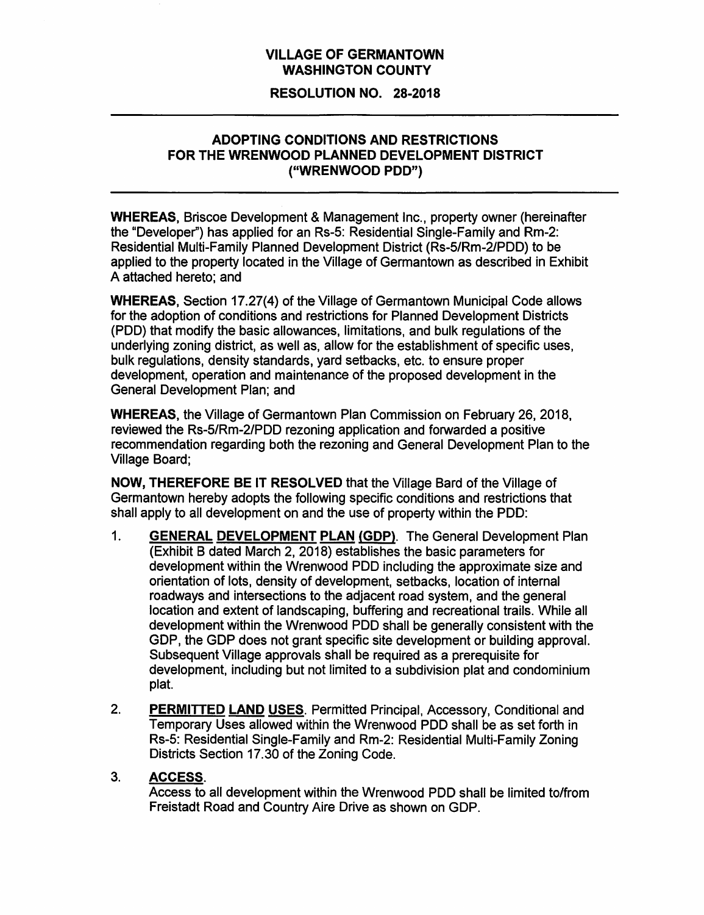# VILLAGE OF GERMANTOWN WASHINGTON COUNTY

#### RESOLUTION NO. 28-2018

### ADOPTING CONDITIONS AND RESTRICTIONS FOR THE WRENWOOD PLANNED DEVELOPMENT DISTRICT ("WRENWOOD POD")

WHEREAS, Briscoe Development & Management Inc., property owner (hereinafter the "Developer") has applied for an Rs-5: Residential Single-Family and Rm-2: Residential Multi-Family Planned Development District (Rs-5/Rm-2/PDD) to be applied to the property located in the Village of Germantown as described in Exhibit A attached hereto; and

WHEREAS, Section 17.27(4) of the Village of Germantown Municipal Code allows for the adoption of conditions and restrictions for Planned Development Districts (POD) that modify the basic allowances, limitations, and bulk regulations of the underlying zoning district, as well as, allow for the establishment of specific uses, bulk regulations, density standards, yard setbacks, etc. to ensure proper development, operation and maintenance of the proposed development in the General Development Plan; and

WHEREAS, the Village of Germantown Plan Commission on February 26, 2018, reviewed the Rs-5/Rm-2/PDD rezoning application and forwarded a positive recommendation regarding both the rezoning and General Development Plan to the Village Board;

NOW, THEREFORE BE IT RESOLVED that the Village Bard of the Village of Germantown hereby adopts the following specific conditions and restrictions that shall apply to all development on and the use of property within the POD:

- 1. GENERAL DEVELOPMENT PLAN (GDP). The General Development Plan (Exhibit B dated March 2, 2018) establishes the basic parameters for development within the Wrenwood POD including the approximate size and orientation of lots, density of development, setbacks, location of internal roadways and intersections to the adjacent road system, and the general location and extent of landscaping, buffering and recreational trails. While all development within the Wrenwood POD shall be generally consistent with the GDP, the GDP does not grant specific site development or building approval. Subsequent Village approvals shall be required as a prerequisite for development, including but not limited to a subdivision plat and condominium plat.
- 2. PERMITTED LAND USES. Permitted Principal, Accessory, Conditional and Temporary Uses allowed within the Wrenwood POD shall be as set forth in Rs-5: Residential Single-Family and Rm-2: Residential Multi-Family Zoning Districts Section 17.30 of the Zoning Code.

#### 3. ACCESS.

Access to all development within the Wrenwood POD shall be limited to/from Freistadt Road and Country Aire Drive as shown on GDP.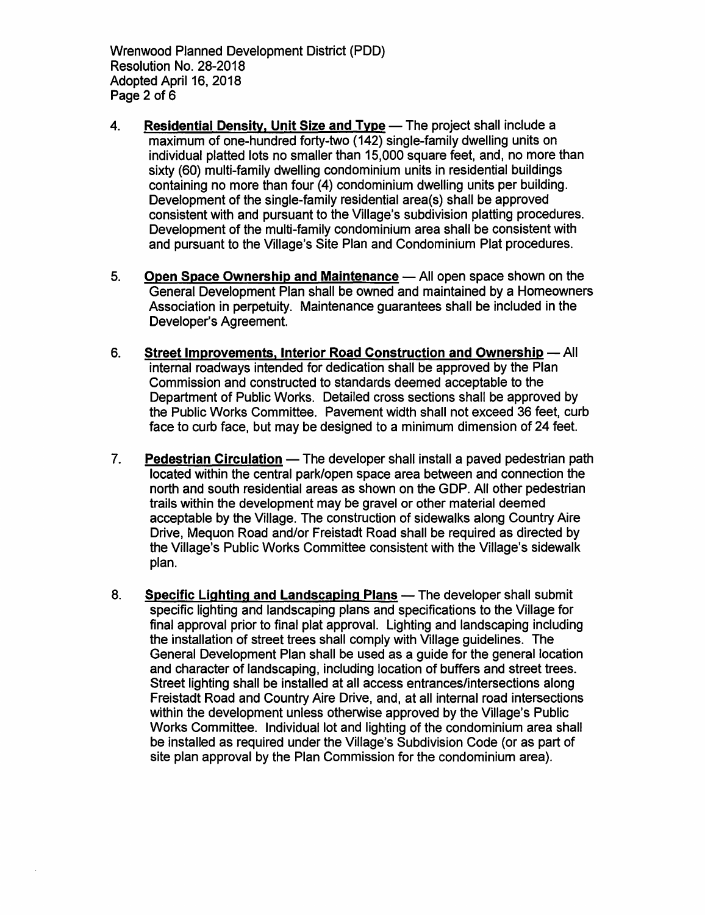Wrenwood Planned Development District (POD) Resolution No. 28-2018 Adopted April 16, 2018 Page 2 of 6

- 4. Residential Density. Unit Size and Type The project shall include a maximum of one-hundred forty-two (142) single-family dwelling units on individual platted lots no smaller than 15,000 square feet, and, no more than sixty (60) multi-family dwelling condominium units in residential buildings containing no more than four (4) condominium dwelling units per building. Development of the single-family residential area(s) shall be approved consistent with and pursuant to the Village's subdivision platting procedures. Development of the multi-family condominium area shall be consistent with and pursuant to the Village's Site Plan and Condominium Plat procedures.
- 5. Open Space Ownership and Maintenance All open space shown on the General Development Plan shall be owned and maintained by a Homeowners Association in perpetuity. Maintenance guarantees shall be included in the Developer's Agreement.
- 6. Street Improvements, Interior Road Construction and Ownership All internal roadways intended for dedication shall be approved by the Plan Commission and constructed to standards deemed acceptable to the Department of Public Works. Detailed cross sections shall be approved by the Public Works Committee. Pavement width shall not exceed 36 feet, curb face to curb face, but may be designed to a minimum dimension of 24 feet.
- 7. Pedestrian Circulation The developer shall install a paved pedestrian path located within the central park/open space area between and connection the north and south residential areas as shown on the GDP. All other pedestrian trails within the development may be gravel or other material deemed acceptable by the Village. The construction of sidewalks along Country Aire Drive, Mequon Road and/or Freistadt Road shall be required as directed by the Village's Public Works Committee consistent with the Village's sidewalk plan.
- 8. Specific Lighting and Landscaping Plans The developer shall submit specific lighting and landscaping plans and specifications to the Village for final approval prior to final plat approval. Lighting and landscaping including the installation of street trees shall comply with Village guidelines. The General Development Plan shall be used as a guide for the general location and character of landscaping, including location of buffers and street trees. Street lighting shall be installed at all access entrances/intersections along Freistadt Road and Country Aire Drive, and, at all internal road intersections within the development unless otherwise approved by the Village's Public Works Committee. Individual lot and lighting of the condominium area shall be installed as required under the Village's Subdivision Code (or as part of site plan approval by the Plan Commission for the condominium area).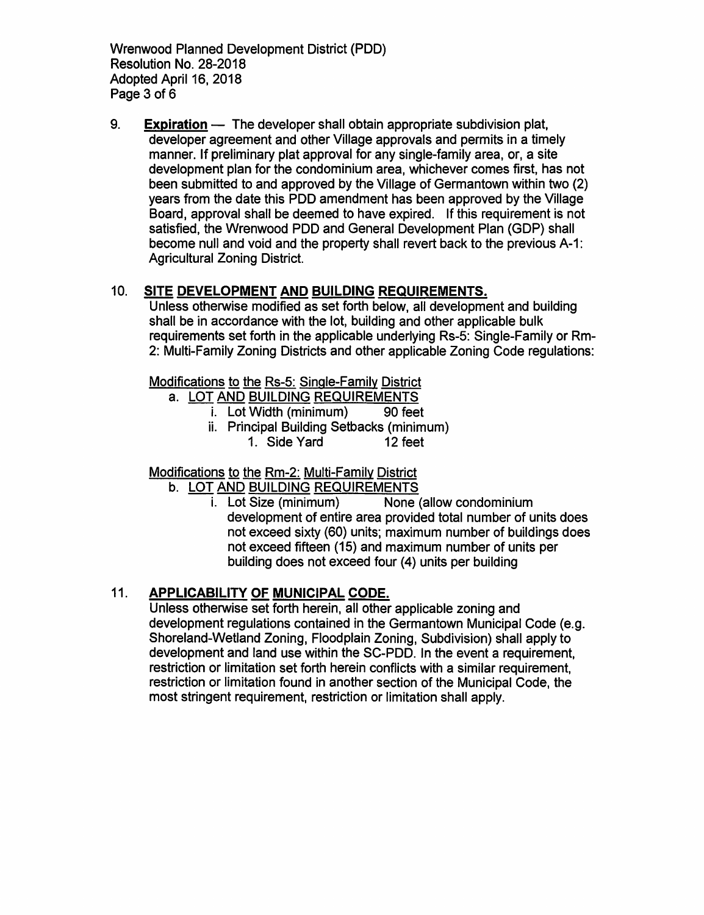Wrenwood Planned Development District (POD) Resolution No. 28-2018 Adopted April 16, 2018 Page 3 of 6

9. **Expiration**  $-$  The developer shall obtain appropriate subdivision plat, developer agreement and other Village approvals and permits in a timely manner. If preliminary plat approval for any single-family area, or, a site development plan for the condominium area, whichever comes first, has not been submitted to and approved by the Village of Germantown within two (2) years from the date this POD amendment has been approved by the Village Board, approval shall be deemed to have expired. If this requirement is not satisfied, the Wrenwood PDD and General Development Plan (GDP) shall become null and void and the property shall revert back to the previous A-1: Agricultural Zoning District.

# 10. SITE DEVELOPMENT AND BUILDING REQUIREMENTS.

Unless otherwise modified as set forth below, all development and building shall be in accordance with the lot, building and other applicable bulk requirements set forth in the applicable underlying Rs-5: Single-Family or Rm-2: Multi-Family Zoning Districts and other applicable Zoning Code regulations:

Modifications to the Rs-5: Single-Family District

- a. LOT AND BUILDING REQUIREMENTS
	- i. Lot Width (minimum) 90 feet
	- ii. Principal Building Setbacks (minimum) 1. Side Yard 12 feet

Modifications to the Rm-2: Multi-Family District

- b. LOT AND BUILDING REQUIREMENTS
	- i. Lot Size (minimum) None (allow condominium development of entire area provided total number of units does not exceed sixty (60) units; maximum number of buildings does not exceed fifteen (15) and maximum number of units per building does not exceed four (4) units per building

# 11. APPLICABILITY OF MUNICIPAL CODE.

Unless otherwise set forth herein, all other applicable zoning and development regulations contained in the Germantown Municipal Code (e.g. Shoreland-Wetland Zoning, Floodplain Zoning, Subdivision) shall apply to development and land use within the SC-PDD. In the event a requirement, restriction or limitation set forth herein conflicts with a similar requirement, restriction or limitation found in another section of the Municipal Code, the most stringent requirement, restriction or limitation shall apply.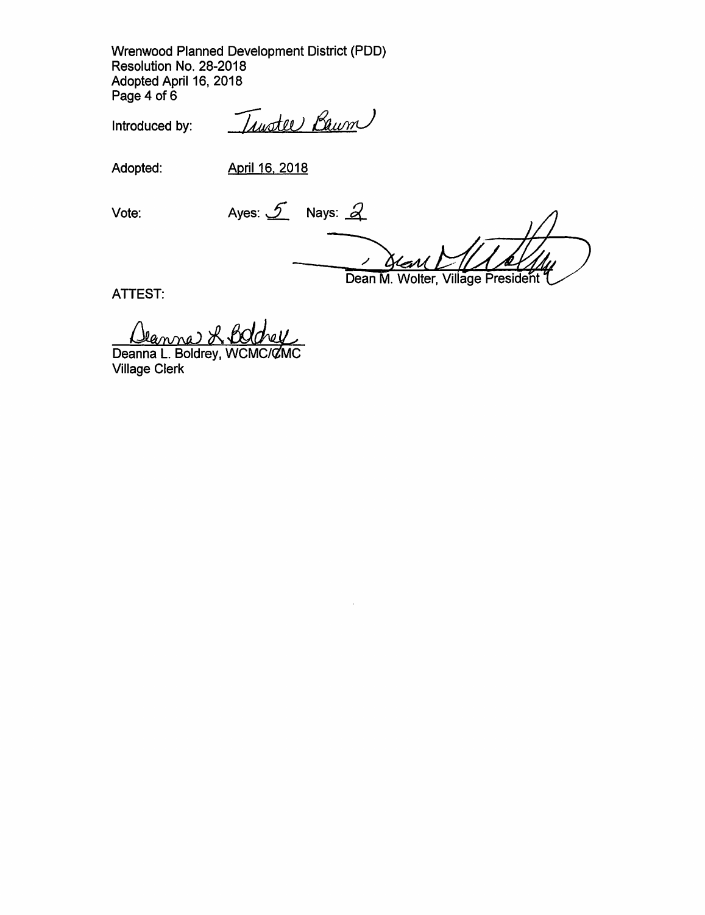Wrenwood Planned Development District (PDD) Resolution No. 28-2018 Adopted April 16, 2018 Page 4 of 6

Introduced by:

Trustee Baum

Adopted: April 16, 2018

Vote: Ayes:  $\mathcal{S}$  Nays:  $\mathcal{Q}$ 

ATTEST:

Dean M. Wolter, Village President

Deanna R. Bold<br>Deanna L. Boldrey, WCM

Village Clerk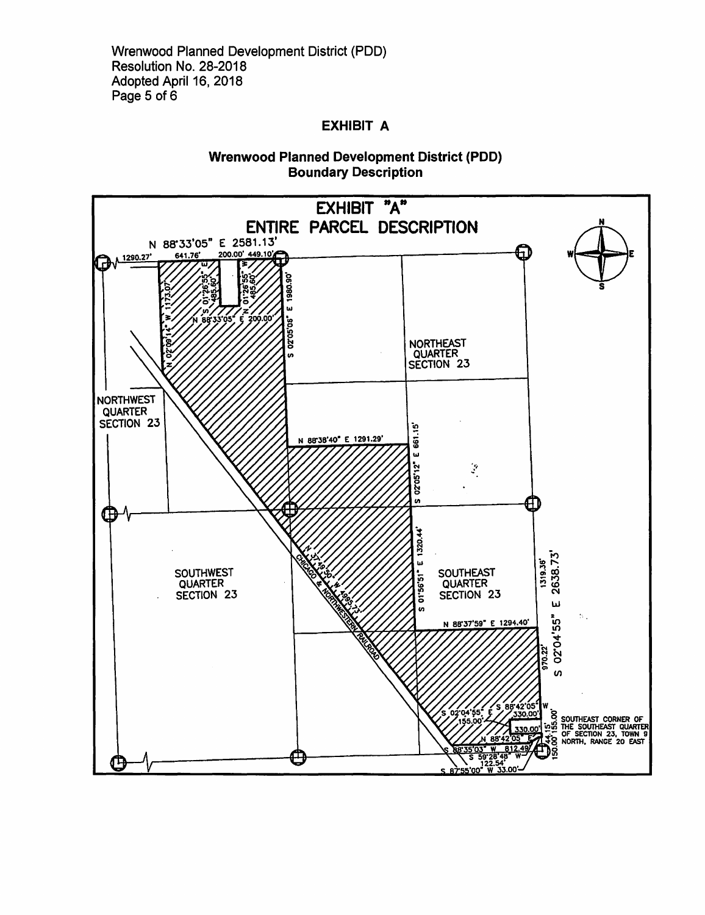Wrenwood Planned Development District (PDD) Resolution No. 28-2018 Adopted April 16, 2018 Page 5 of 6

## **EXHIBIT A**

### **Wrenwood Planned Development District (PDD) Boundary Description**